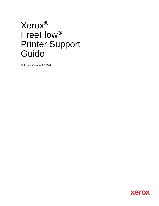## Xerox® FreeFlow® Printer Support Guide

Software Version 9.0.25.0

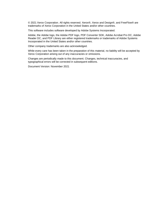© 2021 Xerox Corporation. All rights reserved. Xerox®, Xerox and Design®, and FreeFlow® are trademarks of Xerox Corporation in the United States and/or other countries.

This software includes software developed by Adobe Systems Incorporated.

Adobe, the Adobe logo, the Adobe PDF logo, PDF Converter SDK, Adobe Acrobat Pro DC, Adobe Reader DC, and PDF Library are either registered trademarks or trademarks of Adobe Systems Incorporated in the United States and/or other countries.

Other company trademarks are also acknowledged.

While every care has been taken in the preparation of this material, no liability will be accepted by Xerox Corporation arising out of any inaccuracies or omissions.

Changes are periodically made to this document. Changes, technical inaccuracies, and typographical errors will be corrected in subsequent editions.

Document Version: November 2021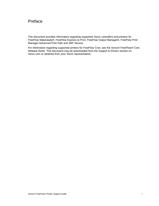## Preface

This document provides information regarding supported Xerox controllers and printers for FreeFlow Makeready®, FreeFlow Express to Print, FreeFlow Output Manager®, FreeFlow Print Manager-Advanced Print Path and JMF Service.

For information regarding supported printers for FreeFlow Core, see the Xerox® FreeFlow® Core Release Notes. This document may be downloaded from the Support & Drivers section on Xerox.com or obtained from your Xerox representative.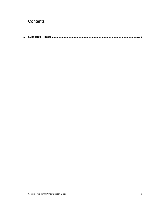## **Contents**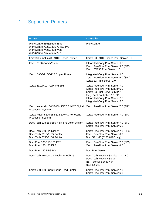## <span id="page-4-0"></span>1. Supported Printers

| <b>Printer</b>                                                                                                        | <b>Controller</b>                                                                                                                                                                                             |
|-----------------------------------------------------------------------------------------------------------------------|---------------------------------------------------------------------------------------------------------------------------------------------------------------------------------------------------------------|
| WorkCentre 5665/5675/5687<br>WorkCentre 7328/7335/7345/7346<br>WorkCentre 7425/7428/7435<br>WorkCentre 7655/7665/7675 | WorkCentre                                                                                                                                                                                                    |
| Xerox <sup>®</sup> PrimeLink <sup>®</sup> B9100 Series Printer                                                        | Xerox EX B9100 Series Print Server 1.0                                                                                                                                                                        |
| Xerox D136 Copier/Printer                                                                                             | Integrated Copy/Print Server 1.0<br>Xerox FreeFlow Print Server 9.0 (SP3)<br>Xerox EX136 Print Server 1.0                                                                                                     |
| Xerox D95/D110/D125 Copier/Printer                                                                                    | Integrated Copy/Print Server 1.0<br>Xerox FreeFlow Print Server 9.0 (SP3)<br>Xerox EX Print Server 1.0                                                                                                        |
| Xerox 4112/4127 C/P and EPS                                                                                           | Xerox FreeFlow Print Server 7.0<br>Xerox FreeFlow Print Server 6.0<br>Xerox EX Print Server 2.5 IPP<br>Fiery Print Controller 2.0 IPP<br>Integrated Copy/Print Server 3.0<br>Integrated Copy/Print Server 2.0 |
| Xerox Nuvera® 100/120/144/157 EA/MX Digital<br><b>Production System</b>                                               | Xerox FreeFlow Print Server 7.0 (SP3)                                                                                                                                                                         |
| Xerox Nuvera 200/288/314 EA/MX Perfecting<br><b>Production System</b>                                                 | Xerox FreeFlow Print Server 7.0 (SP3)                                                                                                                                                                         |
| DocuTech 128/155/180 Highlight Color System                                                                           | Xerox FreeFlow Print Server 7.0 (SP3)<br>Xerox FreeFlow Print Server 6.0                                                                                                                                      |
| DocuTech 6100 Publisher<br>DocuTech 6115/6135 Printer<br>DocuTech 6155/6180 Printer                                   | Xerox FreeFlow Print Server 7.0 (SP3)<br>Xerox FreeFlow Print Server 6.0<br>DocuSP 1.4J (6135/6180 only)                                                                                                      |
| DocuPrint 100/115/135 EPS<br>DocuPrint 155/180 EPS                                                                    | Xerox FreeFlow Print Server 7.0 (SP3)<br>Xerox FreeFlow Print Server 6.0                                                                                                                                      |
| DocuPrint 180 NPS MX                                                                                                  | <b>DocuPrint Server</b>                                                                                                                                                                                       |
| DocuTech Production Publisher 90/135                                                                                  | DocuTech Network Service - J 1.4.0<br>DocuTech Network Server<br>NS + Server Series 4.0<br>NS Plus 2.1                                                                                                        |
| Xerox 650/1300 Continuous Feed Printer                                                                                | Xerox FreeFlow Print Server 7.0<br>Xerox FreeFlow Print Server 6.0                                                                                                                                            |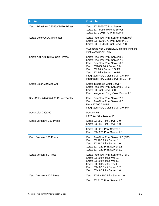| <b>Printer</b>                       | <b>Controller</b>                                                                                                                                                                                                                                                                             |
|--------------------------------------|-----------------------------------------------------------------------------------------------------------------------------------------------------------------------------------------------------------------------------------------------------------------------------------------------|
| Xerox PrimeLink C9065/C9070 Printer  | Xerox EX 9065-70 Print Server<br>Xerox EX-i 9065-70 Print Server<br>Xerox EX-c 9065-70 Print Server                                                                                                                                                                                           |
| Xerox Color C60/C70 Printer          | Xerox FreeFlow Print Server Integrated <sup>1</sup><br>Xerox EX-i C60/C70 Print Server 1.0<br>Xerox EX C60/C70 Print Server 1.0                                                                                                                                                               |
|                                      | <sup>1</sup> Supported with Makeready, Express to Print and<br>Print Manager-APP only                                                                                                                                                                                                         |
| Xerox 700/700i Digital Color Press   | Xerox FreeFlow Print Server 8.0<br>Xerox FreeFlow Print Server 7.0<br>Xerox FreeFlow Print Server 6.0<br>Xerox EX700i Print Server 1.0<br>Xerox EX Print Server 1.5 IPP<br>Xerox EX Print Server 1.0 IPP<br>Integrated Fiery Color Server 1.5 IPP<br>Integrated Fiery Color Server(i) 1.0 IPP |
| Xerox Color 550/560/570              | Xerox Integrated Color Server<br>Xerox FreeFlow Print Server 9.0 (SP3)<br>Xerox EX Print Server 2.0<br>Xerox Integrated Fiery Color Server 1.0                                                                                                                                                |
| DocuColor 242/252/260 Copier/Printer | Xerox FreeFlow Print Server 7.0<br>Xerox FreeFlow Print Server 6.0<br>Fiery EX260 2.0 IPP<br>Integrated Fiery Color Server 2.0 IPP                                                                                                                                                            |
| DocuColor 240/250                    | DocuSP <sub>51</sub><br>Fiery EXP250 1.0/1.1 IPP                                                                                                                                                                                                                                              |
| Xerox Versant® 280 Press             | Xerox EX 280 Print Server 2.0<br>Xerox EX 280 Print Server 1.0                                                                                                                                                                                                                                |
|                                      | Xerox EX-i 280 Print Server 2.0<br>Xerox EX-i 280 Print Server 1.0                                                                                                                                                                                                                            |
| Xerox Versant 180 Press              | Xerox FreeFlow Print Server 9.0 (SP3)<br>Xerox EX 180 Print Server 1.1<br>Xerox EX 180 Print Server 1.0<br>Xerox EX-i 180 Print Server 1.1<br>Xerox EX-i 180 Print Server 1.0                                                                                                                 |
| Xerox Versant 80 Press               | Xerox FreeFlow Print Server 9.0 (SP3)<br>Xerox EX 80 Print Server 2.0<br>Xerox EX 80 Print Server 1.2<br>Xerox EX 80 Print Server 1.0<br>Xerox EX-i 80 Print Server 1.2<br>Xerox EX-i 80 Print Server 1.0                                                                                     |
| Xerox Versant 4100 Press             | Xerox EX-P 4100 Print Server 1.0                                                                                                                                                                                                                                                              |
|                                      | Xerox EX 4100 Print Server 1.0                                                                                                                                                                                                                                                                |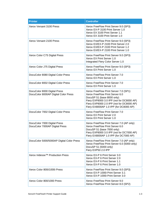| <b>Printer</b>                                                       | <b>Controller</b>                                                                                                                                                                                                                          |
|----------------------------------------------------------------------|--------------------------------------------------------------------------------------------------------------------------------------------------------------------------------------------------------------------------------------------|
| Xerox Versant 3100 Press                                             | Xerox FreeFlow Print Server 9.0 (SP3)<br>Xerox EX-P 3100 Print Server 1.0<br>Xerox EX 3100 Print Server 1.1<br>Xerox EX 3100 Print Server 1.0                                                                                              |
| Xerox Versant 2100 Press                                             | Xerox FreeFlow Print Server 9.0 (SP3)<br>Xerox EX/EX-P 2100 Print Server 2.0<br>Xerox EX/EX-P 2100 Print Server 1.2<br>Xerox EX/EX-P 2100 Print Server 1.0                                                                                 |
| Xerox Color C75 Digital Press                                        | Xerox FreeFlow Print Server 9.0 (SP3)<br>Xerox EX Print Server 1.0<br>Integrated Fiery Color Server 1.0                                                                                                                                    |
| Xerox Color J75 Digital Press                                        | Xerox FreeFlow Print Server 9.0 (SP3)<br>Xerox EX Print Server 1.0                                                                                                                                                                         |
| DocuColor 8080 Digital Color Press                                   | Xerox FreeFlow Print Server 7.0<br>Xerox EX Print Server 1.0                                                                                                                                                                               |
| DocuColor 8002 Digital Color Press                                   | Xerox FreeFlow Print Server 7.0<br>Xerox EX Print Server 1.0                                                                                                                                                                               |
| DocuColor 8000 Digital Press<br>DocuColor 8000AP Digital Color Press | Xerox FreeFlow Print Server 7.0 (SP1)<br>Xerox FreeFlow Print Server 6.0<br>DocuSP 51 (base 8000 only)<br>Fiery EXP8000 3.0 IPP (not for DC8000 AP)<br>Fiery EXP8000 2.0 IPP (not for DC8000 AP)<br>Fiery EX8000AP 1.0 IPP (for DC8000 AP) |
| DocuColor 7002 Digital Color Press                                   | Xerox FreeFlow Print Server 7.0<br>Xerox EX Print Server 2.0<br>Xerox EX Print Server 1.0                                                                                                                                                  |
| DocuColor 7000 Digital Press<br>DocuColor 7000AP Digital Press       | Xerox FreeFlow Print Server 7.0 (AP only)<br>Xerox FreeFlow Print Server 6.0<br>DocuSP 51 (base 7000 only)<br>Fiery EXP8000 3.0 IPP (not for DC7000 AP)<br>Fiery EX8000AP 1.0 IPP (for DC7000 AP)                                          |
| DocuColor 5000/5000AP Digital Color Press                            | Xerox FreeFlow Print Server 7.0 (AP only)<br>Xerox FreeFlow Print Server 6.0 (5000 only)<br>DocuSP 51 (5000 only)<br>Fiery EXP50 2.0 IPP                                                                                                   |
| Xerox Iridesse™ Production Press                                     | Xerox EX-P 6 Print Server 3.0<br>Xerox EX-P 6 Print Server 2.0<br>Xerox EX-P 6 Print Server 1.1<br>Xerox EX-P 6 Print Server 1.0                                                                                                           |
| Xerox Color 800i/1000i Press                                         | Xerox FreeFlow Print Server 9.0 (SP3)<br>Xerox EX-P 1000i Print Server 3.1<br>Xerox EX-P 1000i Print Server 3.0                                                                                                                            |
| Xerox Color 800/1000 Press                                           | Xerox FreeFlow Print Server 9.0<br>Xerox FreeFlow Print Server 8.0 (SP2)                                                                                                                                                                   |